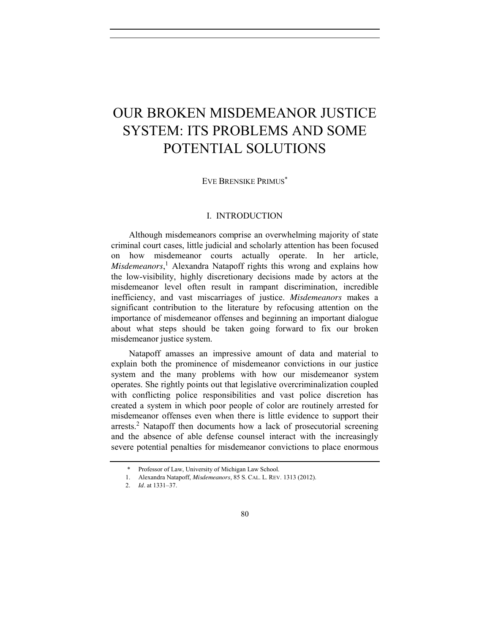# OUR BROKEN MISDEMEANOR JUSTICE SYSTEM: ITS PROBLEMS AND SOME POTENTIAL SOLUTIONS

EVE BRENSIKE PRIMUS\*

### I. INTRODUCTION

<span id="page-0-0"></span>Although misdemeanors comprise an overwhelming majority of state criminal court cases, little judicial and scholarly attention has been focused on how misdemeanor courts actually operate. In her article, *Misdemeanors*, <sup>1</sup> Alexandra Natapoff rights this wrong and explains how the low-visibility, highly discretionary decisions made by actors at the misdemeanor level often result in rampant discrimination, incredible inefficiency, and vast miscarriages of justice. *Misdemeanors* makes a significant contribution to the literature by refocusing attention on the importance of misdemeanor offenses and beginning an important dialogue about what steps should be taken going forward to fix our broken misdemeanor justice system.

Natapoff amasses an impressive amount of data and material to explain both the prominence of misdemeanor convictions in our justice system and the many problems with how our misdemeanor system operates. She rightly points out that legislative overcriminalization coupled with conflicting police responsibilities and vast police discretion has created a system in which poor people of color are routinely arrested for misdemeanor offenses even when there is little evidence to support their arrests.2 Natapoff then documents how a lack of prosecutorial screening and the absence of able defense counsel interact with the increasingly severe potential penalties for misdemeanor convictions to place enormous

<sup>\*</sup> Professor of Law, University of Michigan Law School.

<sup>1.</sup> Alexandra Natapoff, *Misdemeanors*, 85 S. CAL. L. REV. 1313 (2012).

<sup>2.</sup> *Id.* at 1331–37.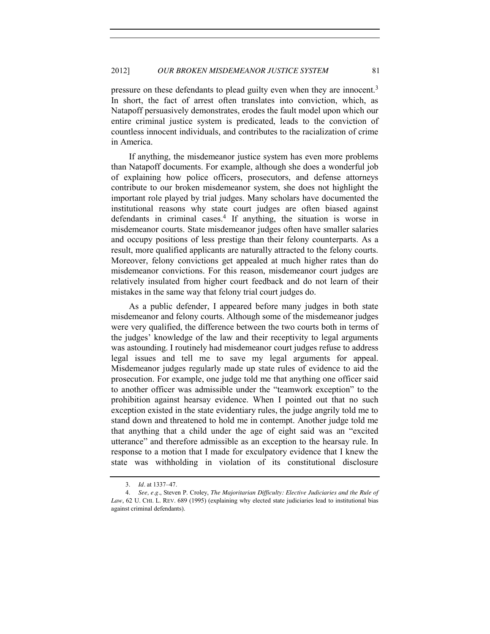pressure on these defendants to plead guilty even when they are innocent.<sup>3</sup> In short, the fact of arrest often translates into conviction, which, as Natapoff persuasively demonstrates, erodes the fault model upon which our entire criminal justice system is predicated, leads to the conviction of countless innocent individuals, and contributes to the racialization of crime in America.

If anything, the misdemeanor justice system has even more problems than Natapoff documents. For example, although she does a wonderful job of explaining how police officers, prosecutors, and defense attorneys contribute to our broken misdemeanor system, she does not highlight the important role played by trial judges. Many scholars have documented the institutional reasons why state court judges are often biased against defendants in criminal cases.<sup>4</sup> If anything, the situation is worse in misdemeanor courts. State misdemeanor judges often have smaller salaries and occupy positions of less prestige than their felony counterparts. As a result, more qualified applicants are naturally attracted to the felony courts. Moreover, felony convictions get appealed at much higher rates than do misdemeanor convictions. For this reason, misdemeanor court judges are relatively insulated from higher court feedback and do not learn of their mistakes in the same way that felony trial court judges do.

As a public defender, I appeared before many judges in both state misdemeanor and felony courts. Although some of the misdemeanor judges were very qualified, the difference between the two courts both in terms of the judges' knowledge of the law and their receptivity to legal arguments was astounding. I routinely had misdemeanor court judges refuse to address legal issues and tell me to save my legal arguments for appeal. Misdemeanor judges regularly made up state rules of evidence to aid the prosecution. For example, one judge told me that anything one officer said to another officer was admissible under the "teamwork exception" to the prohibition against hearsay evidence. When I pointed out that no such exception existed in the state evidentiary rules, the judge angrily told me to stand down and threatened to hold me in contempt. Another judge told me that anything that a child under the age of eight said was an "excited utterance" and therefore admissible as an exception to the hearsay rule. In response to a motion that I made for exculpatory evidence that I knew the state was withholding in violation of its constitutional disclosure

<sup>3.</sup> *Id.* at 1337–47.

<sup>4.</sup> *See, e.g.*, Steven P. Croley, *The Majoritarian Difficulty: Elective Judiciaries and the Rule of Law*, 62 U. CHI. L. REV. 689 (1995) (explaining why elected state judiciaries lead to institutional bias against criminal defendants).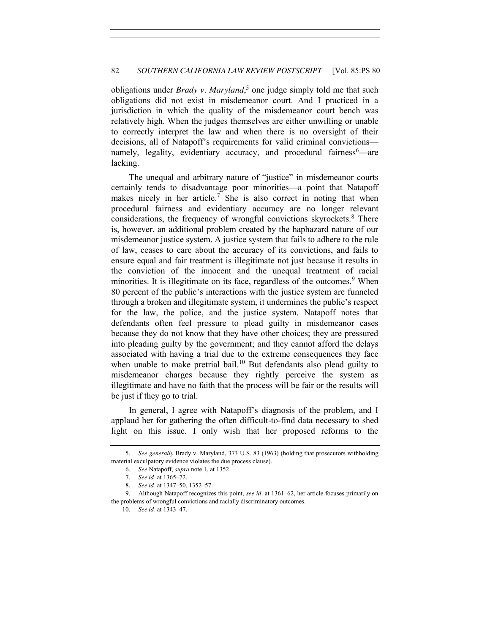## 82 *SOUTHERN CALIFORNIA LAW REVIEW POSTSCRIPT* [Vol. 85:PS 80

obligations under *Brady v. Maryland*, <sup>5</sup> one judge simply told me that such obligations did not exist in misdemeanor court. And I practiced in a jurisdiction in which the quality of the misdemeanor court bench was relatively high. When the judges themselves are either unwilling or unable to correctly interpret the law and when there is no oversight of their decisions, all of Natapoff's requirements for valid criminal convictions namely, legality, evidentiary accuracy, and procedural fairness<sup>6</sup>—are lacking.

The unequal and arbitrary nature of "justice" in misdemeanor courts certainly tends to disadvantage poor minorities—a point that Natapoff makes nicely in her article.<sup>7</sup> She is also correct in noting that when procedural fairness and evidentiary accuracy are no longer relevant considerations, the frequency of wrongful convictions skyrockets.<sup>8</sup> There is, however, an additional problem created by the haphazard nature of our misdemeanor justice system. A justice system that fails to adhere to the rule of law, ceases to care about the accuracy of its convictions, and fails to ensure equal and fair treatment is illegitimate not just because it results in the conviction of the innocent and the unequal treatment of racial minorities. It is illegitimate on its face, regardless of the outcomes.<sup>9</sup> When 80 percent of the public's interactions with the justice system are funneled through a broken and illegitimate system, it undermines the public's respect for the law, the police, and the justice system. Natapoff notes that defendants often feel pressure to plead guilty in misdemeanor cases because they do not know that they have other choices; they are pressured into pleading guilty by the government; and they cannot afford the delays associated with having a trial due to the extreme consequences they face when unable to make pretrial bail.<sup>10</sup> But defendants also plead guilty to misdemeanor charges because they rightly perceive the system as illegitimate and have no faith that the process will be fair or the results will be just if they go to trial.

In general, I agree with Natapoff's diagnosis of the problem, and I applaud her for gathering the often difficult-to-find data necessary to shed light on this issue. I only wish that her proposed reforms to the

<sup>5.</sup> *See generally* Brady v. Maryland, 373 U.S. 83 (1963) (holding that prosecutors withholding material exculpatory evidence violates the due process clause).

<sup>6.</sup> *See* Natapoff, *supra* not[e 1,](#page-0-0) at 1352.

<sup>7.</sup> *See id.* at 1365–72.

<sup>8.</sup> *See id.* at 1347–50, 1352–57.

<sup>9.</sup> Although Natapoff recognizes this point, *see id.* at 1361–62, her article focuses primarily on the problems of wrongful convictions and racially discriminatory outcomes.

<sup>10.</sup> *See id.* at 1343–47.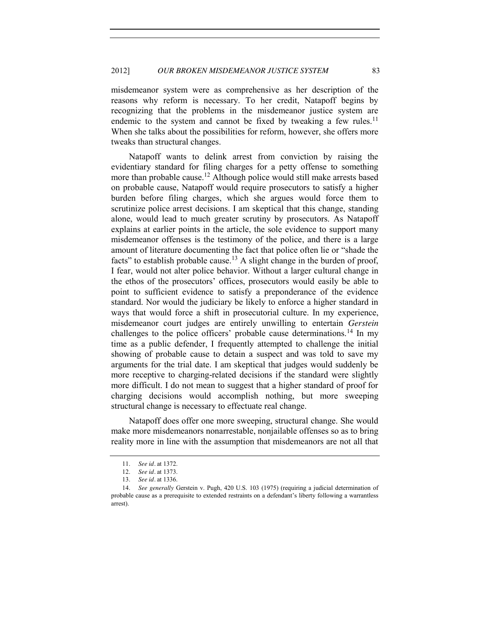misdemeanor system were as comprehensive as her description of the reasons why reform is necessary. To her credit, Natapoff begins by recognizing that the problems in the misdemeanor justice system are endemic to the system and cannot be fixed by tweaking a few rules.<sup>11</sup> When she talks about the possibilities for reform, however, she offers more tweaks than structural changes.

Natapoff wants to delink arrest from conviction by raising the evidentiary standard for filing charges for a petty offense to something more than probable cause.<sup>12</sup> Although police would still make arrests based on probable cause, Natapoff would require prosecutors to satisfy a higher burden before filing charges, which she argues would force them to scrutinize police arrest decisions. I am skeptical that this change, standing alone, would lead to much greater scrutiny by prosecutors. As Natapoff explains at earlier points in the article, the sole evidence to support many misdemeanor offenses is the testimony of the police, and there is a large amount of literature documenting the fact that police often lie or "shade the facts" to establish probable cause.<sup>13</sup> A slight change in the burden of proof, I fear, would not alter police behavior. Without a larger cultural change in the ethos of the prosecutors' offices, prosecutors would easily be able to point to sufficient evidence to satisfy a preponderance of the evidence standard. Nor would the judiciary be likely to enforce a higher standard in ways that would force a shift in prosecutorial culture. In my experience, misdemeanor court judges are entirely unwilling to entertain *Gerstein*  challenges to the police officers' probable cause determinations.<sup>14</sup> In my time as a public defender, I frequently attempted to challenge the initial showing of probable cause to detain a suspect and was told to save my arguments for the trial date. I am skeptical that judges would suddenly be more receptive to charging-related decisions if the standard were slightly more difficult. I do not mean to suggest that a higher standard of proof for charging decisions would accomplish nothing, but more sweeping structural change is necessary to effectuate real change.

Natapoff does offer one more sweeping, structural change. She would make more misdemeanors nonarrestable, nonjailable offenses so as to bring reality more in line with the assumption that misdemeanors are not all that

<sup>11.</sup> *See id.* at 1372.

<sup>12.</sup> *See id.* at 1373.

<sup>13.</sup> *See id.* at 1336.

<sup>14.</sup> *See generally* Gerstein v. Pugh, 420 U.S. 103 (1975) (requiring a judicial determination of probable cause as a prerequisite to extended restraints on a defendant's liberty following a warrantless arrest).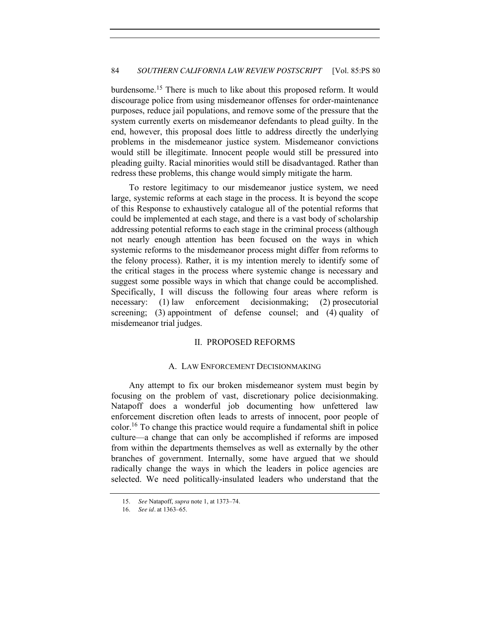burdensome.<sup>15</sup> There is much to like about this proposed reform. It would discourage police from using misdemeanor offenses for order-maintenance purposes, reduce jail populations, and remove some of the pressure that the system currently exerts on misdemeanor defendants to plead guilty. In the end, however, this proposal does little to address directly the underlying problems in the misdemeanor justice system. Misdemeanor convictions would still be illegitimate. Innocent people would still be pressured into pleading guilty. Racial minorities would still be disadvantaged. Rather than redress these problems, this change would simply mitigate the harm.

To restore legitimacy to our misdemeanor justice system, we need large, systemic reforms at each stage in the process. It is beyond the scope of this Response to exhaustively catalogue all of the potential reforms that could be implemented at each stage, and there is a vast body of scholarship addressing potential reforms to each stage in the criminal process (although not nearly enough attention has been focused on the ways in which systemic reforms to the misdemeanor process might differ from reforms to the felony process). Rather, it is my intention merely to identify some of the critical stages in the process where systemic change is necessary and suggest some possible ways in which that change could be accomplished. Specifically, I will discuss the following four areas where reform is necessary: (1) law enforcement decisionmaking; (2) prosecutorial screening; (3) appointment of defense counsel; and (4) quality of misdemeanor trial judges.

## II. PROPOSED REFORMS

### A. LAW ENFORCEMENT DECISIONMAKING

Any attempt to fix our broken misdemeanor system must begin by focusing on the problem of vast, discretionary police decisionmaking. Natapoff does a wonderful job documenting how unfettered law enforcement discretion often leads to arrests of innocent, poor people of color.16 To change this practice would require a fundamental shift in police culture—a change that can only be accomplished if reforms are imposed from within the departments themselves as well as externally by the other branches of government. Internally, some have argued that we should radically change the ways in which the leaders in police agencies are selected. We need politically-insulated leaders who understand that the

<sup>15.</sup> *See* Natapoff, *supra* not[e 1,](#page-0-0) at 1373–74.

<sup>16.</sup> *See id.* at 1363–65.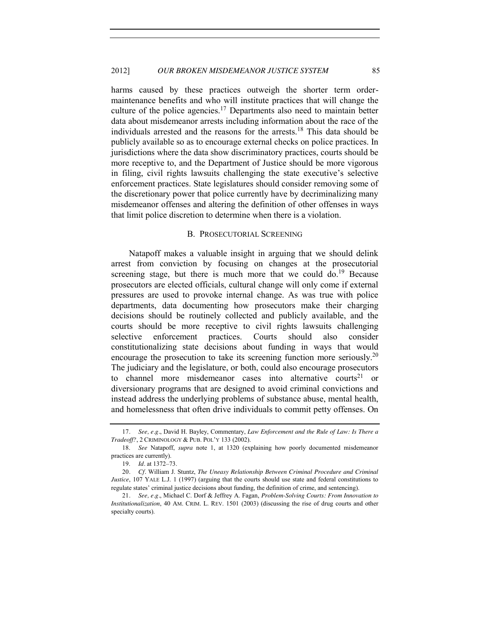harms caused by these practices outweigh the shorter term ordermaintenance benefits and who will institute practices that will change the culture of the police agencies.<sup>17</sup> Departments also need to maintain better data about misdemeanor arrests including information about the race of the individuals arrested and the reasons for the arrests.<sup>18</sup> This data should be publicly available so as to encourage external checks on police practices. In jurisdictions where the data show discriminatory practices, courts should be more receptive to, and the Department of Justice should be more vigorous in filing, civil rights lawsuits challenging the state executive's selective enforcement practices. State legislatures should consider removing some of the discretionary power that police currently have by decriminalizing many misdemeanor offenses and altering the definition of other offenses in ways that limit police discretion to determine when there is a violation.

#### B. PROSECUTORIAL SCREENING

Natapoff makes a valuable insight in arguing that we should delink arrest from conviction by focusing on changes at the prosecutorial screening stage, but there is much more that we could  $\delta$  do.<sup>19</sup> Because prosecutors are elected officials, cultural change will only come if external pressures are used to provoke internal change. As was true with police departments, data documenting how prosecutors make their charging decisions should be routinely collected and publicly available, and the courts should be more receptive to civil rights lawsuits challenging selective enforcement practices. Courts should also consider constitutionalizing state decisions about funding in ways that would encourage the prosecution to take its screening function more seriously.<sup>20</sup> The judiciary and the legislature, or both, could also encourage prosecutors to channel more misdemeanor cases into alternative courts<sup>21</sup> or diversionary programs that are designed to avoid criminal convictions and instead address the underlying problems of substance abuse, mental health, and homelessness that often drive individuals to commit petty offenses. On

<sup>17</sup>*. See, e.g.*, David H. Bayley, Commentary, *Law Enforcement and the Rule of Law: Is There a Tradeoff?*, 2 CRIMINOLOGY & PUB. POL'Y 133 (2002).

<sup>18.</sup> *See* Natapoff, *supra* note [1,](#page-0-0) at 1320 (explaining how poorly documented misdemeanor practices are currently).

<sup>19.</sup> *Id.* at 1372–73.

<sup>20</sup>*. Cf.* William J. Stuntz, *The Uneasy Relationship Between Criminal Procedure and Criminal Justice*, 107 YALE L.J. 1 (1997) (arguing that the courts should use state and federal constitutions to regulate states' criminal justice decisions about funding, the definition of crime, and sentencing).

<sup>21</sup>*. See, e.g.*, Michael C. Dorf & Jeffrey A. Fagan, *Problem-Solving Courts: From Innovation to Institutionalization*, 40 AM. CRIM. L. REV. 1501 (2003) (discussing the rise of drug courts and other specialty courts).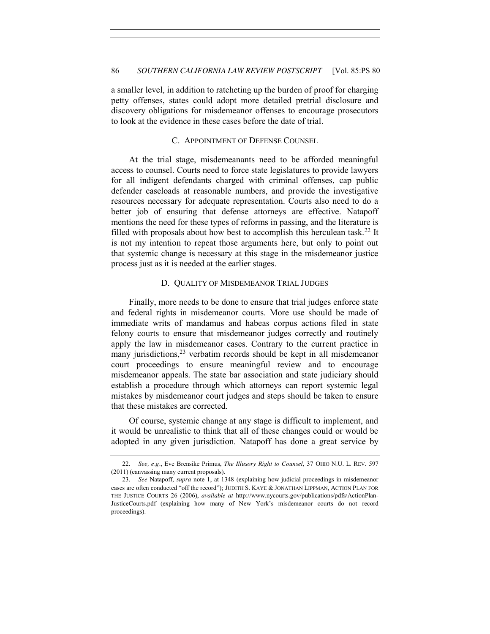a smaller level, in addition to ratcheting up the burden of proof for charging petty offenses, states could adopt more detailed pretrial disclosure and discovery obligations for misdemeanor offenses to encourage prosecutors to look at the evidence in these cases before the date of trial.

## C. APPOINTMENT OF DEFENSE COUNSEL

At the trial stage, misdemeanants need to be afforded meaningful access to counsel. Courts need to force state legislatures to provide lawyers for all indigent defendants charged with criminal offenses, cap public defender caseloads at reasonable numbers, and provide the investigative resources necessary for adequate representation. Courts also need to do a better job of ensuring that defense attorneys are effective. Natapoff mentions the need for these types of reforms in passing, and the literature is filled with proposals about how best to accomplish this herculean task.<sup>22</sup> It is not my intention to repeat those arguments here, but only to point out that systemic change is necessary at this stage in the misdemeanor justice process just as it is needed at the earlier stages.

## D. QUALITY OF MISDEMEANOR TRIAL JUDGES

Finally, more needs to be done to ensure that trial judges enforce state and federal rights in misdemeanor courts. More use should be made of immediate writs of mandamus and habeas corpus actions filed in state felony courts to ensure that misdemeanor judges correctly and routinely apply the law in misdemeanor cases. Contrary to the current practice in many jurisdictions, $23$  verbatim records should be kept in all misdemeanor court proceedings to ensure meaningful review and to encourage misdemeanor appeals. The state bar association and state judiciary should establish a procedure through which attorneys can report systemic legal mistakes by misdemeanor court judges and steps should be taken to ensure that these mistakes are corrected.

Of course, systemic change at any stage is difficult to implement, and it would be unrealistic to think that all of these changes could or would be adopted in any given jurisdiction. Natapoff has done a great service by

<sup>22.</sup> *See, e.g.*, Eve Brensike Primus, *The Illusory Right to Counsel*, 37 OHIO N.U. L. REV. 597 (2011) (canvassing many current proposals).

<sup>23.</sup> *See* Natapoff, *supra* note [1,](#page-0-0) at 1348 (explaining how judicial proceedings in misdemeanor cases are often conducted "off the record"); JUDITH S. KAYE & JONATHAN LIPPMAN, ACTION PLAN FOR THE JUSTICE COURTS 26 (2006), *available at* http://www.nycourts.gov/publications/pdfs/ActionPlan-JusticeCourts.pdf (explaining how many of New York's misdemeanor courts do not record proceedings).